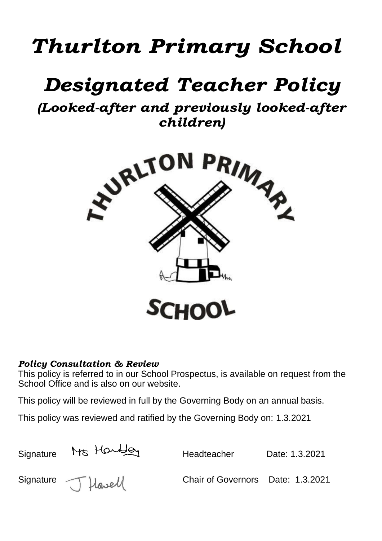# *Thurlton Primary School*

## *Designated Teacher Policy*

*(Looked-after and previously looked-after children)*



## *Policy Consultation & Review*

This policy is referred to in our School Prospectus, is available on request from the School Office and is also on our website.

This policy will be reviewed in full by the Governing Body on an annual basis.

This policy was reviewed and ratified by the Governing Body on: 1.3.2021

| Signature | Ms Harbley         | Headteacher                       | Date: 1.3.2021 |
|-----------|--------------------|-----------------------------------|----------------|
|           | Signature J Howell | Chair of Governors Date: 1.3.2021 |                |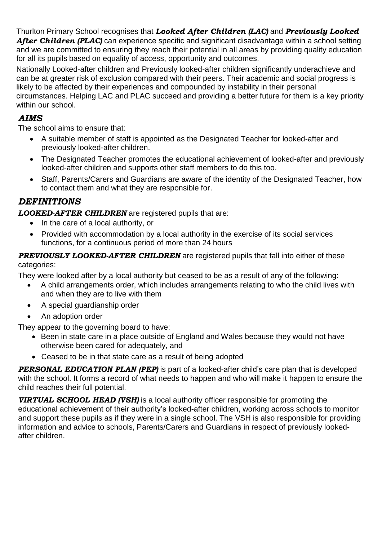Thurlton Primary School recognises that *Looked After Children (LAC)* and *Previously Looked After Children (PLAC)* can experience specific and significant disadvantage within a school setting and we are committed to ensuring they reach their potential in all areas by providing quality education for all its pupils based on equality of access, opportunity and outcomes.

Nationally Looked-after children and Previously looked-after children significantly underachieve and can be at greater risk of exclusion compared with their peers. Their academic and social progress is likely to be affected by their experiences and compounded by instability in their personal circumstances. Helping LAC and PLAC succeed and providing a better future for them is a key priority within our school.

#### *AIMS*

The school aims to ensure that:

- A suitable member of staff is appointed as the Designated Teacher for looked-after and previously looked-after children.
- The Designated Teacher promotes the educational achievement of looked-after and previously looked-after children and supports other staff members to do this too.
- Staff, Parents/Carers and Guardians are aware of the identity of the Designated Teacher, how to contact them and what they are responsible for.

## *DEFINITIONS*

*LOOKED-AFTER CHILDREN* are registered pupils that are:

- In the care of a local authority, or
- Provided with accommodation by a local authority in the exercise of its social services functions, for a continuous period of more than 24 hours

*PREVIOUSLY LOOKED-AFTER CHILDREN* are registered pupils that fall into either of these categories:

They were looked after by a local authority but ceased to be as a result of any of the following:

- A child arrangements order, which includes arrangements relating to who the child lives with and when they are to live with them
- A special guardianship order
- An adoption order

They appear to the governing board to have:

- Been in state care in a place outside of England and Wales because they would not have otherwise been cared for adequately, and
- Ceased to be in that state care as a result of being adopted

**PERSONAL EDUCATION PLAN (PEP)** is part of a looked-after child's care plan that is developed with the school. It forms a record of what needs to happen and who will make it happen to ensure the child reaches their full potential.

*VIRTUAL SCHOOL HEAD (VSH)* is a local authority officer responsible for promoting the educational achievement of their authority's looked-after children, working across schools to monitor and support these pupils as if they were in a single school. The VSH is also responsible for providing information and advice to schools, Parents/Carers and Guardians in respect of previously lookedafter children.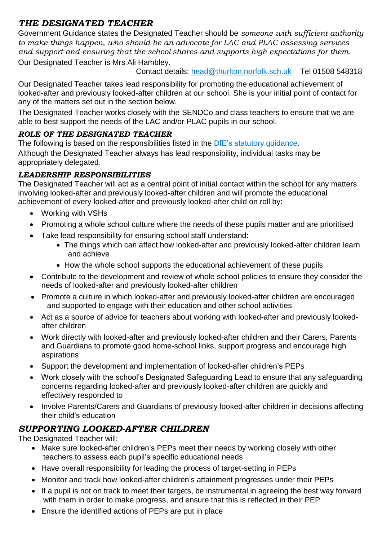## *THE DESIGNATED TEACHER*

Government Guidance states the Designated Teacher should be *someone with sufficient authority to make things happen, who should be an advocate for LAC and PLAC assessing services and support and ensuring that the school shares and supports high expectations for them*.

Our Designated Teacher is Mrs Ali Hambley.

Contact details: [head@thurlton.norfolk.sch.uk](mailto:head@thurlton.norfolk.sch.uk) Tel 01508 548318

Our Designated Teacher takes lead responsibility for promoting the educational achievement of looked-after and previously looked-after children at our school. She is your initial point of contact for any of the matters set out in the section below.

The Designated Teacher works closely with the SENDCo and class teachers to ensure that we are able to best support the needs of the LAC and/or PLAC pupils in our school.

#### *ROLE OF THE DESIGNATED TEACHER*

The following is based on the responsibilities listed in the [DfE's statutory](https://www.gov.uk/government/publications/designated-teacher-for-looked-after-children) guidance. Although the Designated Teacher always has lead responsibility, individual tasks may be appropriately delegated.

#### *LEADERSHIP RESPONSIBILITIES*

The Designated Teacher will act as a central point of initial contact within the school for any matters involving looked-after and previously looked-after children and will promote the educational achievement of every looked-after and previously looked-after child on roll by:

- Working with VSHs
- Promoting a whole school culture where the needs of these pupils matter and are prioritised
- Take lead responsibility for ensuring school staff understand:
	- The things which can affect how looked-after and previously looked-after children learn and achieve
	- How the whole school supports the educational achievement of these pupils
- Contribute to the development and review of whole school policies to ensure they consider the needs of looked-after and previously looked-after children
- Promote a culture in which looked-after and previously looked-after children are encouraged and supported to engage with their education and other school activities
- Act as a source of advice for teachers about working with looked-after and previously lookedafter children
- Work directly with looked-after and previously looked-after children and their Carers, Parents and Guardians to promote good home-school links, support progress and encourage high aspirations
- Support the development and implementation of looked-after children's PEPs
- Work closely with the school's Designated Safeguarding Lead to ensure that any safeguarding concerns regarding looked-after and previously looked-after children are quickly and effectively responded to
- Involve Parents/Carers and Guardians of previously looked-after children in decisions affecting their child's education

## *SUPPORTING LOOKED-AFTER CHILDREN*

The Designated Teacher will:

- Make sure looked-after children's PEPs meet their needs by working closely with other teachers to assess each pupil's specific educational needs
- Have overall responsibility for leading the process of target-setting in PEPs
- Monitor and track how looked-after children's attainment progresses under their PEPs
- If a pupil is not on track to meet their targets, be instrumental in agreeing the best way forward with them in order to make progress, and ensure that this is reflected in their PEP
- Ensure the identified actions of PEPs are put in place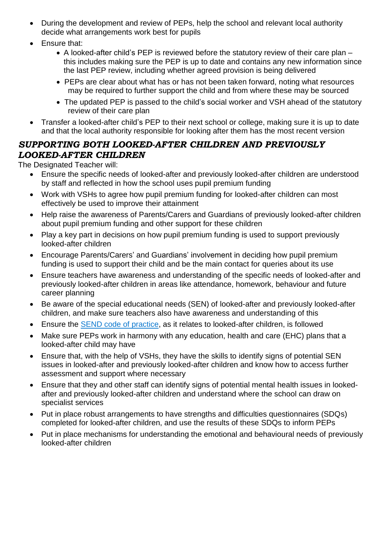- During the development and review of PEPs, help the school and relevant local authority decide what arrangements work best for pupils
- Ensure that:
	- A looked-after child's PEP is reviewed before the statutory review of their care plan this includes making sure the PEP is up to date and contains any new information since the last PEP review, including whether agreed provision is being delivered
	- PEPs are clear about what has or has not been taken forward, noting what resources may be required to further support the child and from where these may be sourced
	- The updated PEP is passed to the child's social worker and VSH ahead of the statutory review of their care plan
- Transfer a looked-after child's PEP to their next school or college, making sure it is up to date and that the local authority responsible for looking after them has the most recent version

## *SUPPORTING BOTH LOOKED-AFTER CHILDREN AND PREVIOUSLY LOOKED-AFTER CHILDREN*

The Designated Teacher will:

- Ensure the specific needs of looked-after and previously looked-after children are understood by staff and reflected in how the school uses pupil premium funding
- Work with VSHs to agree how pupil premium funding for looked-after children can most effectively be used to improve their attainment
- Help raise the awareness of Parents/Carers and Guardians of previously looked-after children about pupil premium funding and other support for these children
- Play a key part in decisions on how pupil premium funding is used to support previously looked-after children
- Encourage Parents/Carers' and Guardians' involvement in deciding how pupil premium funding is used to support their child and be the main contact for queries about its use
- Ensure teachers have awareness and understanding of the specific needs of looked-after and previously looked-after children in areas like attendance, homework, behaviour and future career planning
- Be aware of the special educational needs (SEN) of looked-after and previously looked-after children, and make sure teachers also have awareness and understanding of this
- Ensure the [SEND code of practice,](https://www.gov.uk/government/publications/send-code-of-practice-0-to-25) as it relates to looked-after children, is followed
- Make sure PEPs work in harmony with any education, health and care (EHC) plans that a looked-after child may have
- Ensure that, with the help of VSHs, they have the skills to identify signs of potential SEN issues in looked-after and previously looked-after children and know how to access further assessment and support where necessary
- Ensure that they and other staff can identify signs of potential mental health issues in lookedafter and previously looked-after children and understand where the school can draw on specialist services
- Put in place robust arrangements to have strengths and difficulties questionnaires (SDQs) completed for looked-after children, and use the results of these SDQs to inform PEPs
- Put in place mechanisms for understanding the emotional and behavioural needs of previously looked-after children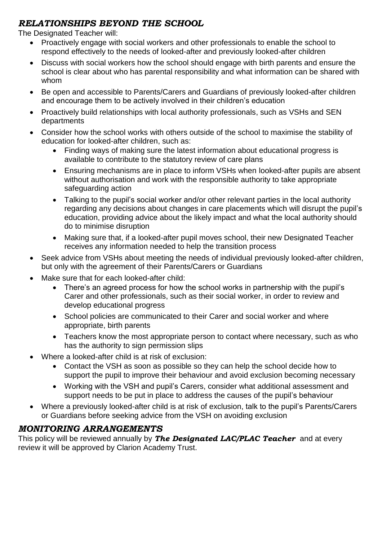## *RELATIONSHIPS BEYOND THE SCHOOL*

The Designated Teacher will:

- Proactively engage with social workers and other professionals to enable the school to respond effectively to the needs of looked-after and previously looked-after children
- Discuss with social workers how the school should engage with birth parents and ensure the school is clear about who has parental responsibility and what information can be shared with whom
- Be open and accessible to Parents/Carers and Guardians of previously looked-after children and encourage them to be actively involved in their children's education
- Proactively build relationships with local authority professionals, such as VSHs and SEN departments
- Consider how the school works with others outside of the school to maximise the stability of education for looked-after children, such as:
	- Finding ways of making sure the latest information about educational progress is available to contribute to the statutory review of care plans
	- Ensuring mechanisms are in place to inform VSHs when looked-after pupils are absent without authorisation and work with the responsible authority to take appropriate safeguarding action
	- Talking to the pupil's social worker and/or other relevant parties in the local authority regarding any decisions about changes in care placements which will disrupt the pupil's education, providing advice about the likely impact and what the local authority should do to minimise disruption
	- Making sure that, if a looked-after pupil moves school, their new Designated Teacher receives any information needed to help the transition process
- Seek advice from VSHs about meeting the needs of individual previously looked-after children, but only with the agreement of their Parents/Carers or Guardians
- Make sure that for each looked-after child:
	- There's an agreed process for how the school works in partnership with the pupil's Carer and other professionals, such as their social worker, in order to review and develop educational progress
	- School policies are communicated to their Carer and social worker and where appropriate, birth parents
	- Teachers know the most appropriate person to contact where necessary, such as who has the authority to sign permission slips
- Where a looked-after child is at risk of exclusion:
	- Contact the VSH as soon as possible so they can help the school decide how to support the pupil to improve their behaviour and avoid exclusion becoming necessary
	- Working with the VSH and pupil's Carers, consider what additional assessment and support needs to be put in place to address the causes of the pupil's behaviour
- Where a previously looked-after child is at risk of exclusion, talk to the pupil's Parents/Carers or Guardians before seeking advice from the VSH on avoiding exclusion

## *MONITORING ARRANGEMENTS*

This policy will be reviewed annually by *The Designated LAC/PLAC Teacher* and at every review it will be approved by Clarion Academy Trust.